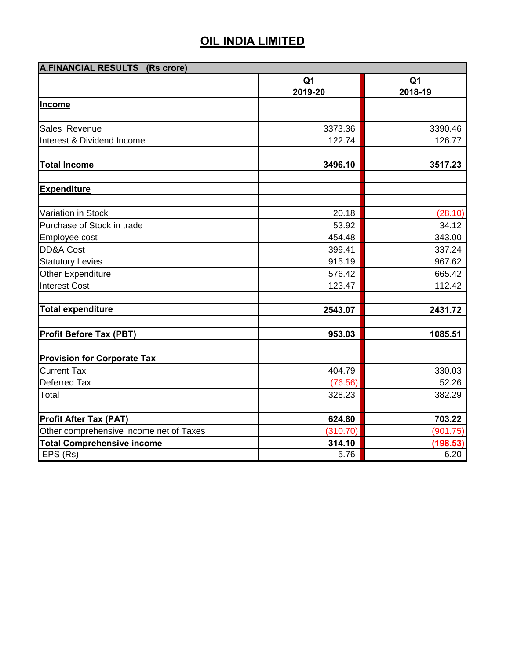| A.FINANCIAL RESULTS (Rs crore)          |                           |                           |
|-----------------------------------------|---------------------------|---------------------------|
|                                         | Q <sub>1</sub><br>2019-20 | Q <sub>1</sub><br>2018-19 |
| Income                                  |                           |                           |
|                                         |                           |                           |
| Sales Revenue                           | 3373.36                   | 3390.46                   |
| Interest & Dividend Income              | 122.74                    | 126.77                    |
|                                         |                           |                           |
| <b>Total Income</b>                     | 3496.10                   | 3517.23                   |
| <b>Expenditure</b>                      |                           |                           |
|                                         |                           |                           |
| Variation in Stock                      | 20.18                     | (28.10)                   |
| Purchase of Stock in trade              | 53.92                     | 34.12                     |
| Employee cost                           | 454.48                    | 343.00                    |
| DD&A Cost                               | 399.41                    | 337.24                    |
| <b>Statutory Levies</b>                 | 915.19                    | 967.62                    |
| <b>Other Expenditure</b>                | 576.42                    | 665.42                    |
| <b>Interest Cost</b>                    | 123.47                    | 112.42                    |
| <b>Total expenditure</b>                | 2543.07                   | 2431.72                   |
| Profit Before Tax (PBT)                 | 953.03                    | 1085.51                   |
| <b>Provision for Corporate Tax</b>      |                           |                           |
| <b>Current Tax</b>                      | 404.79                    | 330.03                    |
| Deferred Tax                            | (76.56)                   | 52.26                     |
| Total                                   | 328.23                    | 382.29                    |
|                                         |                           |                           |
| <b>Profit After Tax (PAT)</b>           | 624.80                    | 703.22                    |
| Other comprehensive income net of Taxes | (310.70)                  | (901.75)                  |
| <b>Total Comprehensive income</b>       | 314.10                    | (198.53)                  |
| EPS (Rs)                                | 5.76                      | 6.20                      |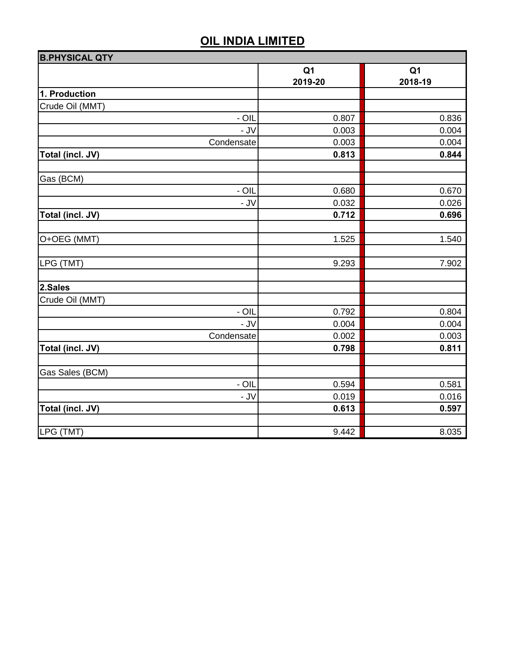| <b>B.PHYSICAL QTY</b> |                           |                           |
|-----------------------|---------------------------|---------------------------|
|                       | Q <sub>1</sub><br>2019-20 | Q <sub>1</sub><br>2018-19 |
| 1. Production         |                           |                           |
| Crude Oil (MMT)       |                           |                           |
| $-$ OIL               | 0.807                     | 0.836                     |
| - JV                  | 0.003                     | 0.004                     |
| Condensate            | 0.003                     | 0.004                     |
| Total (incl. JV)      | 0.813                     | 0.844                     |
| Gas (BCM)             |                           |                           |
| $-$ OIL               | 0.680                     | 0.670                     |
| - JV                  | 0.032                     | 0.026                     |
| Total (incl. JV)      | 0.712                     | 0.696                     |
| O+OEG (MMT)           | 1.525                     | 1.540                     |
| LPG (TMT)             | 9.293                     | 7.902                     |
| 2.Sales               |                           |                           |
| Crude Oil (MMT)       |                           |                           |
| $-$ OIL               | 0.792                     | 0.804                     |
| $-JV$                 | 0.004                     | 0.004                     |
| Condensate            | 0.002                     | 0.003                     |
| Total (incl. JV)      | 0.798                     | 0.811                     |
| Gas Sales (BCM)       |                           |                           |
| $- OIL$               | 0.594                     | 0.581                     |
| $-JV$                 | 0.019                     | 0.016                     |
| Total (incl. JV)      | 0.613                     | 0.597                     |
| LPG (TMT)             | 9.442                     | 8.035                     |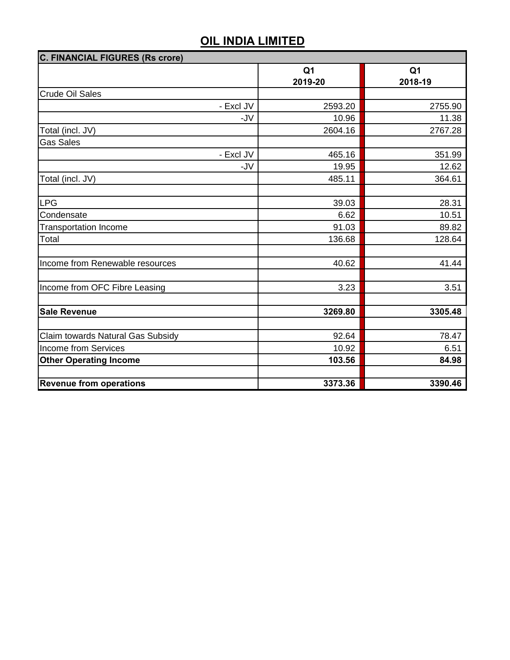| <b>C. FINANCIAL FIGURES (Rs crore)</b> |                |                |  |  |
|----------------------------------------|----------------|----------------|--|--|
|                                        | Q <sub>1</sub> | Q <sub>1</sub> |  |  |
|                                        | 2019-20        | 2018-19        |  |  |
| <b>Crude Oil Sales</b>                 |                |                |  |  |
| - Excl JV                              | 2593.20        | 2755.90        |  |  |
| -JV                                    | 10.96          | 11.38          |  |  |
| Total (incl. JV)                       | 2604.16        | 2767.28        |  |  |
| <b>Gas Sales</b>                       |                |                |  |  |
| - Excl JV                              | 465.16         | 351.99         |  |  |
| -JV                                    | 19.95          | 12.62          |  |  |
| Total (incl. JV)                       | 485.11         | 364.61         |  |  |
|                                        |                |                |  |  |
| <b>LPG</b>                             | 39.03          | 28.31          |  |  |
| Condensate                             | 6.62           | 10.51          |  |  |
| <b>Transportation Income</b>           | 91.03          | 89.82          |  |  |
| Total                                  | 136.68         | 128.64         |  |  |
|                                        |                |                |  |  |
| Income from Renewable resources        | 40.62          | 41.44          |  |  |
|                                        |                |                |  |  |
| Income from OFC Fibre Leasing          | 3.23           | 3.51           |  |  |
|                                        |                |                |  |  |
| <b>Sale Revenue</b>                    | 3269.80        | 3305.48        |  |  |
|                                        |                |                |  |  |
| Claim towards Natural Gas Subsidy      | 92.64          | 78.47          |  |  |
| <b>Income from Services</b>            | 10.92          | 6.51           |  |  |
| <b>Other Operating Income</b>          | 103.56         | 84.98          |  |  |
|                                        |                |                |  |  |
| <b>Revenue from operations</b>         | 3373.36        | 3390.46        |  |  |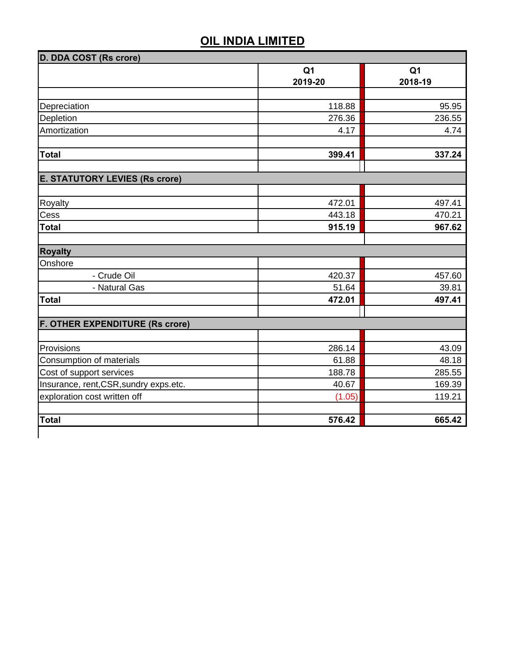|                                        | Q <sub>1</sub> | Q <sub>1</sub> |
|----------------------------------------|----------------|----------------|
|                                        | 2019-20        | 2018-19        |
|                                        |                |                |
| Depreciation                           | 118.88         | 95.95          |
| Depletion                              | 276.36         | 236.55         |
| Amortization                           | 4.17           | 4.74           |
| <b>Total</b>                           | 399.41         | 337.24         |
| <b>E. STATUTORY LEVIES (Rs crore)</b>  |                |                |
|                                        |                |                |
| Royalty                                | 472.01         | 497.41         |
| Cess                                   | 443.18         | 470.21         |
| <b>Total</b>                           | 915.19         | 967.62         |
| <b>Royalty</b>                         |                |                |
| Onshore                                |                |                |
| - Crude Oil                            | 420.37         | 457.60         |
| - Natural Gas                          | 51.64          | 39.81          |
| <b>Total</b>                           | 472.01         | 497.41         |
| <b>F. OTHER EXPENDITURE (Rs crore)</b> |                |                |
|                                        |                |                |
| Provisions                             | 286.14         | 43.09          |
| Consumption of materials               | 61.88          | 48.18          |
| Cost of support services               | 188.78         | 285.55         |
| Insurance, rent, CSR, sundry exps.etc. | 40.67          | 169.39         |
| exploration cost written off           | (1.05)         | 119.21         |
| <b>Total</b>                           | 576.42         | 665.42         |